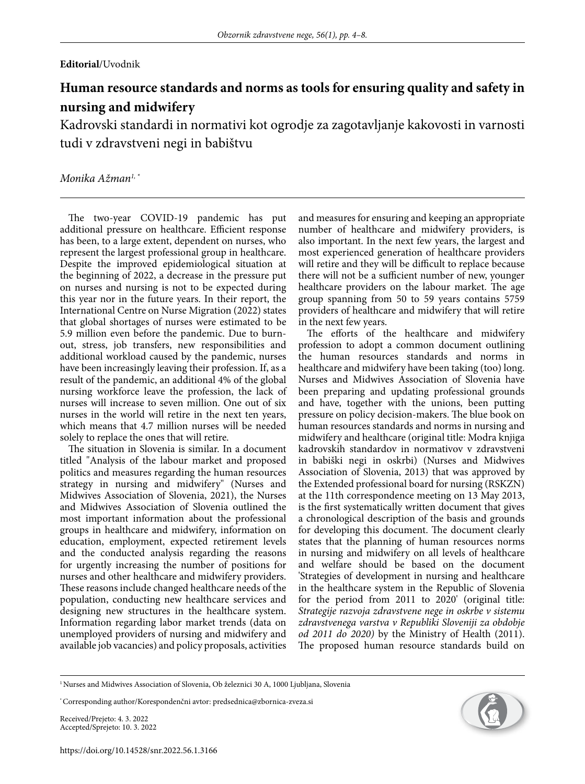## **Editorial**/Uvodnik

# **Human resource standards and norms as tools for ensuring quality and safety in nursing and midwifery**

Kadrovski standardi in normativi kot ogrodje za zagotavljanje kakovosti in varnosti tudi v zdravstveni negi in babištvu

## *Monika Ažman1, \**

The two-year COVID-19 pandemic has put additional pressure on healthcare. Efficient response has been, to a large extent, dependent on nurses, who represent the largest professional group in healthcare. Despite the improved epidemiological situation at the beginning of 2022, a decrease in the pressure put on nurses and nursing is not to be expected during this year nor in the future years. In their report, the International Centre on Nurse Migration (2022) states that global shortages of nurses were estimated to be 5.9 million even before the pandemic. Due to burnout, stress, job transfers, new responsibilities and additional workload caused by the pandemic, nurses have been increasingly leaving their profession. If, as a result of the pandemic, an additional 4% of the global nursing workforce leave the profession, the lack of nurses will increase to seven million. One out of six nurses in the world will retire in the next ten years, which means that 4.7 million nurses will be needed solely to replace the ones that will retire.

The situation in Slovenia is similar. In a document titled "Analysis of the labour market and proposed politics and measures regarding the human resources strategy in nursing and midwifery" (Nurses and Midwives Association of Slovenia, 2021), the Nurses and Midwives Association of Slovenia outlined the most important information about the professional groups in healthcare and midwifery, information on education, employment, expected retirement levels and the conducted analysis regarding the reasons for urgently increasing the number of positions for nurses and other healthcare and midwifery providers. These reasons include changed healthcare needs of the population, conducting new healthcare services and designing new structures in the healthcare system. Information regarding labor market trends (data on unemployed providers of nursing and midwifery and available job vacancies) and policy proposals, activities and measures for ensuring and keeping an appropriate number of healthcare and midwifery providers, is also important. In the next few years, the largest and most experienced generation of healthcare providers will retire and they will be difficult to replace because there will not be a sufficient number of new, younger healthcare providers on the labour market. The age group spanning from 50 to 59 years contains 5759 providers of healthcare and midwifery that will retire in the next few years.

The efforts of the healthcare and midwifery profession to adopt a common document outlining the human resources standards and norms in healthcare and midwifery have been taking (too) long. Nurses and Midwives Association of Slovenia have been preparing and updating professional grounds and have, together with the unions, been putting pressure on policy decision-makers. The blue book on human resources standards and norms in nursing and midwifery and healthcare (original title: Modra knjiga kadrovskih standardov in normativov v zdravstveni in babiški negi in oskrbi) (Nurses and Midwives Association of Slovenia, 2013) that was approved by the Extended professional board for nursing (RSKZN) at the 11th correspondence meeting on 13 May 2013, is the first systematically written document that gives a chronological description of the basis and grounds for developing this document. The document clearly states that the planning of human resources norms in nursing and midwifery on all levels of healthcare and welfare should be based on the document 'Strategies of development in nursing and healthcare in the healthcare system in the Republic of Slovenia for the period from 2011 to 2020' (original title: *Strategije razvoja zdravstvene nege in oskrbe v sistemu zdravstvenega varstva v Republiki Sloveniji za obdobje od 2011 do 2020)* by the Ministry of Health (2011). The proposed human resource standards build on

Received/Prejeto: 4. 3. 2022 Accepted/Sprejeto: 10. 3. 2022



<sup>&</sup>lt;sup>1</sup> Nurses and Midwives Association of Slovenia, Ob železnici 30 A, 1000 Ljubljana, Slovenia

<sup>\*</sup> Corresponding author/Korespondenčni avtor: predsednica@zbornica-zveza.si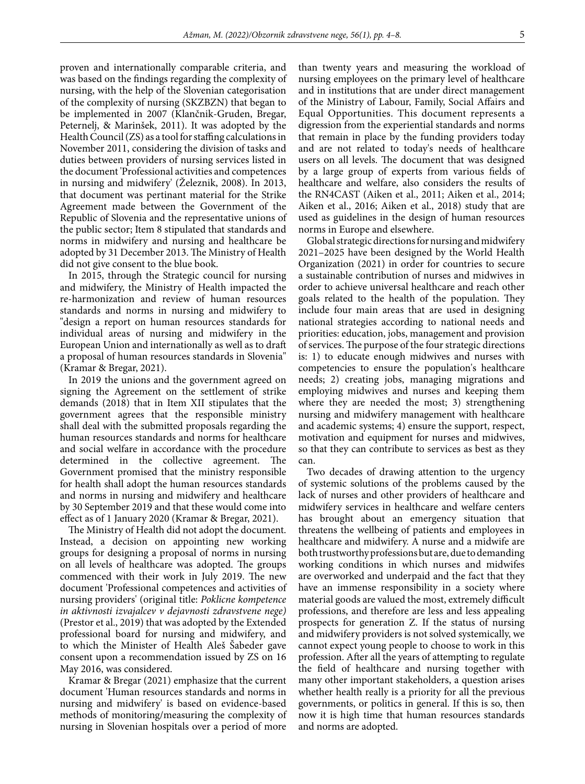proven and internationally comparable criteria, and was based on the findings regarding the complexity of nursing, with the help of the Slovenian categorisation of the complexity of nursing (SKZBZN) that began to be implemented in 2007 (Klančnik-Gruden, Bregar, Peternelj, & Marinšek, 2011). It was adopted by the Health Council (ZS) as a tool for staffing calculations in November 2011, considering the division of tasks and duties between providers of nursing services listed in the document 'Professional activities and competences in nursing and midwifery' (Železnik, 2008). In 2013, that document was pertinant material for the Strike Agreement made between the Government of the Republic of Slovenia and the representative unions of the public sector; Item 8 stipulated that standards and norms in midwifery and nursing and healthcare be adopted by 31 December 2013. The Ministry of Health did not give consent to the blue book.

In 2015, through the Strategic council for nursing and midwifery, the Ministry of Health impacted the re-harmonization and review of human resources standards and norms in nursing and midwifery to "design a report on human resources standards for individual areas of nursing and midwifery in the European Union and internationally as well as to draft a proposal of human resources standards in Slovenia" (Kramar & Bregar, 2021).

In 2019 the unions and the government agreed on signing the Agreement on the settlement of strike demands (2018) that in Item XII stipulates that the government agrees that the responsible ministry shall deal with the submitted proposals regarding the human resources standards and norms for healthcare and social welfare in accordance with the procedure determined in the collective agreement. The Government promised that the ministry responsible for health shall adopt the human resources standards and norms in nursing and midwifery and healthcare by 30 September 2019 and that these would come into effect as of 1 January 2020 (Kramar & Bregar, 2021).

The Ministry of Health did not adopt the document. Instead, a decision on appointing new working groups for designing a proposal of norms in nursing on all levels of healthcare was adopted. The groups commenced with their work in July 2019. The new document 'Professional competences and activities of nursing providers' (original title: *Poklicne kompetence in aktivnosti izvajalcev v dejavnosti zdravstvene nege)* (Prestor et al., 2019) that was adopted by the Extended professional board for nursing and midwifery, and to which the Minister of Health Aleš Šabeder gave consent upon a recommendation issued by ZS on 16 May 2016, was considered.

Kramar & Bregar (2021) emphasize that the current document 'Human resources standards and norms in nursing and midwifery' is based on evidence-based methods of monitoring/measuring the complexity of nursing in Slovenian hospitals over a period of more

than twenty years and measuring the workload of nursing employees on the primary level of healthcare and in institutions that are under direct management of the Ministry of Labour, Family, Social Affairs and Equal Opportunities. This document represents a digression from the experiential standards and norms that remain in place by the funding providers today and are not related to today's needs of healthcare users on all levels. The document that was designed by a large group of experts from various fields of healthcare and welfare, also considers the results of the RN4CAST (Aiken et al., 2011; Aiken et al., 2014; Aiken et al., 2016; Aiken et al., 2018) study that are used as guidelines in the design of human resources norms in Europe and elsewhere.

Global strategic directions for nursing and midwifery 2021–2025 have been designed by the World Health Organization (2021) in order for countries to secure a sustainable contribution of nurses and midwives in order to achieve universal healthcare and reach other goals related to the health of the population. They include four main areas that are used in designing national strategies according to national needs and priorities: education, jobs, management and provision of services. The purpose of the four strategic directions is: 1) to educate enough midwives and nurses with competencies to ensure the population's healthcare needs; 2) creating jobs, managing migrations and employing midwives and nurses and keeping them where they are needed the most; 3) strengthening nursing and midwifery management with healthcare and academic systems; 4) ensure the support, respect, motivation and equipment for nurses and midwives, so that they can contribute to services as best as they can.

Two decades of drawing attention to the urgency of systemic solutions of the problems caused by the lack of nurses and other providers of healthcare and midwifery services in healthcare and welfare centers has brought about an emergency situation that threatens the wellbeing of patients and employees in healthcare and midwifery. A nurse and a midwife are both trustworthy professions but are, due to demanding working conditions in which nurses and midwifes are overworked and underpaid and the fact that they have an immense responsibility in a society where material goods are valued the most, extremely difficult professions, and therefore are less and less appealing prospects for generation Z. If the status of nursing and midwifery providers is not solved systemically, we cannot expect young people to choose to work in this profession. After all the years of attempting to regulate the field of healthcare and nursing together with many other important stakeholders, a question arises whether health really is a priority for all the previous governments, or politics in general. If this is so, then now it is high time that human resources standards and norms are adopted.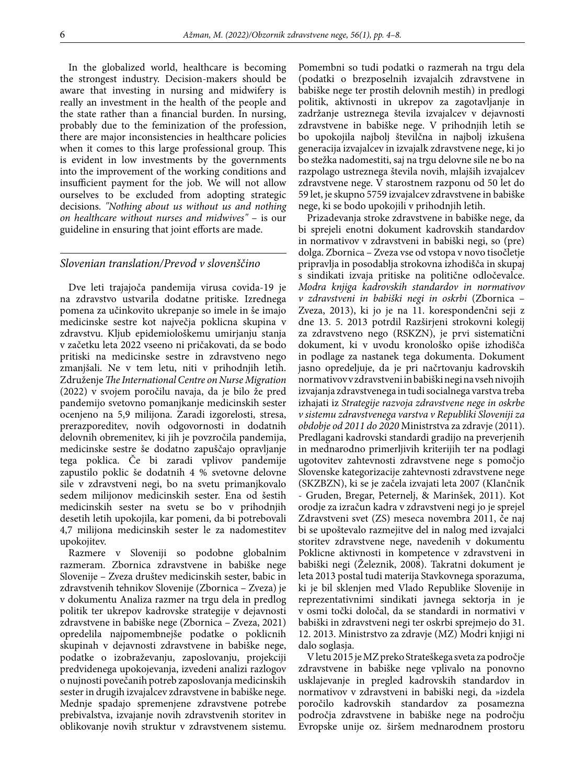In the globalized world, healthcare is becoming the strongest industry. Decision-makers should be aware that investing in nursing and midwifery is really an investment in the health of the people and the state rather than a financial burden. In nursing, probably due to the feminization of the profession, there are major inconsistencies in healthcare policies when it comes to this large professional group. This is evident in low investments by the governments into the improvement of the working conditions and insufficient payment for the job. We will not allow ourselves to be excluded from adopting strategic decisions. *"Nothing about us without us and nothing on healthcare without nurses and midwives"* – is our guideline in ensuring that joint efforts are made.

#### *Slovenian translation/Prevod v slovenščino*

Dve leti trajajoča pandemija virusa covida-19 je na zdravstvo ustvarila dodatne pritiske. Izrednega pomena za učinkovito ukrepanje so imele in še imajo medicinske sestre kot največja poklicna skupina v zdravstvu. Kljub epidemiološkemu umirjanju stanja v začetku leta 2022 vseeno ni pričakovati, da se bodo pritiski na medicinske sestre in zdravstveno nego zmanjšali. Ne v tem letu, niti v prihodnjih letih. Združenje *The International Centre on Nurse Migration* (2022) v svojem poročilu navaja, da je bilo že pred pandemijo svetovno pomanjkanje medicinskih sester ocenjeno na 5,9 milijona. Zaradi izgorelosti, stresa, prerazporeditev, novih odgovornosti in dodatnih delovnih obremenitev, ki jih je povzročila pandemija, medicinske sestre še dodatno zapuščajo opravljanje tega poklica. Če bi zaradi vplivov pandemije zapustilo poklic še dodatnih 4 % svetovne delovne sile v zdravstveni negi, bo na svetu primanjkovalo sedem milijonov medicinskih sester. Ena od šestih medicinskih sester na svetu se bo v prihodnjih desetih letih upokojila, kar pomeni, da bi potrebovali 4,7 milijona medicinskih sester le za nadomestitev upokojitev.

Razmere v Sloveniji so podobne globalnim razmeram. Zbornica zdravstvene in babiške nege Slovenije – Zveza društev medicinskih sester, babic in zdravstvenih tehnikov Slovenije (Zbornica – Zveza) je v dokumentu Analiza razmer na trgu dela in predlog politik ter ukrepov kadrovske strategije v dejavnosti zdravstvene in babiške nege (Zbornica – Zveza, 2021) opredelila najpomembnejše podatke o poklicnih skupinah v dejavnosti zdravstvene in babiške nege, podatke o izobraževanju, zaposlovanju, projekciji predvidenega upokojevanja, izvedeni analizi razlogov o nujnosti povečanih potreb zaposlovanja medicinskih sester in drugih izvajalcev zdravstvene in babiške nege. Mednje spadajo spremenjene zdravstvene potrebe prebivalstva, izvajanje novih zdravstvenih storitev in oblikovanje novih struktur v zdravstvenem sistemu. Pomembni so tudi podatki o razmerah na trgu dela (podatki o brezposelnih izvajalcih zdravstvene in babiške nege ter prostih delovnih mestih) in predlogi politik, aktivnosti in ukrepov za zagotavljanje in zadržanje ustreznega števila izvajalcev v dejavnosti zdravstvene in babiške nege. V prihodnjih letih se bo upokojila najbolj številčna in najbolj izkušena generacija izvajalcev in izvajalk zdravstvene nege, ki jo bo stežka nadomestiti, saj na trgu delovne sile ne bo na razpolago ustreznega števila novih, mlajših izvajalcev zdravstvene nege. V starostnem razponu od 50 let do 59 let, je skupno 5759 izvajalcev zdravstvene in babiške nege, ki se bodo upokojili v prihodnjih letih.

Prizadevanja stroke zdravstvene in babiške nege, da bi sprejeli enotni dokument kadrovskih standardov in normativov v zdravstveni in babiški negi, so (pre) dolga. Zbornica – Zveza vse od vstopa v novo tisočletje pripravlja in posodablja strokovna izhodišča in skupaj s sindikati izvaja pritiske na politične odločevalce. *Modra knjiga kadrovskih standardov in normativov v zdravstveni in babiški negi in oskrbi* (Zbornica – Zveza, 2013), ki jo je na 11. korespondenčni seji z dne 13. 5. 2013 potrdil Razširjeni strokovni kolegij za zdravstveno nego (RSKZN), je prvi sistematični dokument, ki v uvodu kronološko opiše izhodišča in podlage za nastanek tega dokumenta. Dokument jasno opredeljuje, da je pri načrtovanju kadrovskih normativov v zdravstveni in babiški negi na vseh nivojih izvajanja zdravstvenega in tudi socialnega varstva treba izhajati iz *Strategije razvoja zdravstvene nege in oskrbe v sistemu zdravstvenega varstva v Republiki Sloveniji za obdobje od 2011 do 2020* Ministrstva za zdravje (2011). Predlagani kadrovski standardi gradijo na preverjenih in mednarodno primerljivih kriterijih ter na podlagi ugotovitev zahtevnosti zdravstvene nege s pomočjo Slovenske kategorizacije zahtevnosti zdravstvene nege (SKZBZN), ki se je začela izvajati leta 2007 (Klančnik - Gruden, Bregar, Peternelj, & Marinšek, 2011). Kot orodje za izračun kadra v zdravstveni negi jo je sprejel Zdravstveni svet (ZS) meseca novembra 2011, če naj bi se upoštevalo razmejitve del in nalog med izvajalci storitev zdravstvene nege, navedenih v dokumentu Poklicne aktivnosti in kompetence v zdravstveni in babiški negi (Železnik, 2008). Takratni dokument je leta 2013 postal tudi materija Stavkovnega sporazuma, ki je bil sklenjen med Vlado Republike Slovenije in reprezentativnimi sindikati javnega sektorja in je v osmi točki določal, da se standardi in normativi v babiški in zdravstveni negi ter oskrbi sprejmejo do 31. 12. 2013. Ministrstvo za zdravje (MZ) Modri knjigi ni dalo soglasja.

V letu 2015 je MZ preko Strateškega sveta za področje zdravstvene in babiške nege vplivalo na ponovno usklajevanje in pregled kadrovskih standardov in normativov v zdravstveni in babiški negi, da »izdela poročilo kadrovskih standardov za posamezna področja zdravstvene in babiške nege na področju Evropske unije oz. širšem mednarodnem prostoru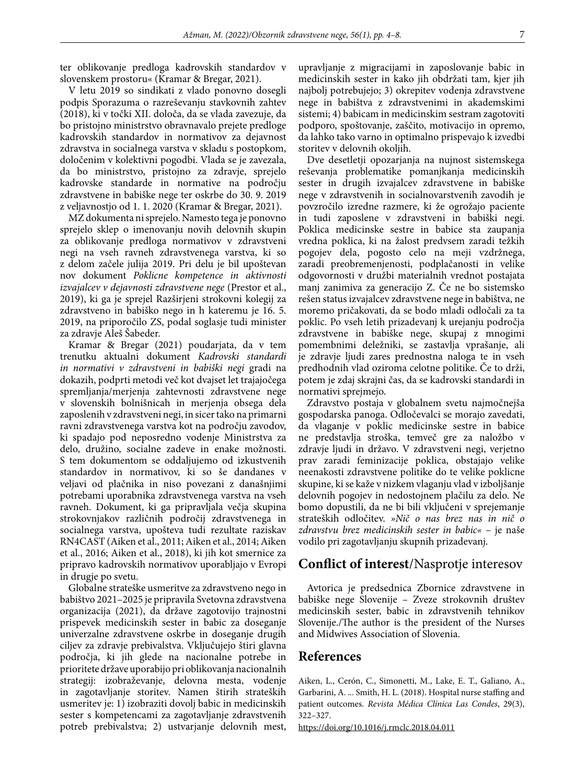ter oblikovanje predloga kadrovskih standardov v slovenskem prostoru« (Kramar & Bregar, 2021).

V letu 2019 so sindikati z vlado ponovno dosegli podpis Sporazuma o razreševanju stavkovnih zahtev (2018), ki v točki XII. določa, da se vlada zavezuje, da bo pristojno ministrstvo obravnavalo prejete predloge kadrovskih standardov in normativov za dejavnost zdravstva in socialnega varstva v skladu s postopkom, določenim v kolektivni pogodbi. Vlada se je zavezala, da bo ministrstvo, pristojno za zdravje, sprejelo kadrovske standarde in normative na področju zdravstvene in babiške nege ter oskrbe do 30. 9. 2019 z veljavnostjo od 1. 1. 2020 (Kramar & Bregar, 2021).

MZ dokumenta ni sprejelo. Namesto tega je ponovno sprejelo sklep o imenovanju novih delovnih skupin za oblikovanje predloga normativov v zdravstveni negi na vseh ravneh zdravstvenega varstva, ki so z delom začele julija 2019. Pri delu je bil upoštevan nov dokument *Poklicne kompetence in aktivnosti izvajalcev v dejavnosti zdravstvene nege* (Prestor et al., 2019), ki ga je sprejel Razširjeni strokovni kolegij za zdravstveno in babiško nego in h kateremu je 16. 5. 2019, na priporočilo ZS, podal soglasje tudi minister za zdravje Aleš Šabeder.

Kramar & Bregar (2021) poudarjata, da v tem trenutku aktualni dokument *Kadrovski standardi in normativi v zdravstveni in babiški negi* gradi na dokazih, podprti metodi več kot dvajset let trajajočega spremljanja/merjenja zahtevnosti zdravstvene nege v slovenskih bolnišnicah in merjenja obsega dela zaposlenih v zdravstveni negi, in sicer tako na primarni ravni zdravstvenega varstva kot na področju zavodov, ki spadajo pod neposredno vodenje Ministrstva za delo, družino, socialne zadeve in enake možnosti. S tem dokumentom se oddaljujemo od izkustvenih standardov in normativov, ki so še dandanes v veljavi od plačnika in niso povezani z današnjimi potrebami uporabnika zdravstvenega varstva na vseh ravneh. Dokument, ki ga pripravljala večja skupina strokovnjakov različnih področij zdravstvenega in socialnega varstva, upošteva tudi rezultate raziskav RN4CAST (Aiken et al., 2011; Aiken et al., 2014; Aiken et al., 2016; Aiken et al., 2018), ki jih kot smernice za pripravo kadrovskih normativov uporabljajo v Evropi in drugje po svetu.

Globalne strateške usmeritve za zdravstveno nego in babištvo 2021–2025 je pripravila Svetovna zdravstvena organizacija (2021), da države zagotovijo trajnostni prispevek medicinskih sester in babic za doseganje univerzalne zdravstvene oskrbe in doseganje drugih ciljev za zdravje prebivalstva. Vključujejo štiri glavna področja, ki jih glede na nacionalne potrebe in prioritete države uporabijo pri oblikovanja nacionalnih strategij: izobraževanje, delovna mesta, vodenje in zagotavljanje storitev. Namen štirih strateških usmeritev je: 1) izobraziti dovolj babic in medicinskih sester s kompetencami za zagotavljanje zdravstvenih potreb prebivalstva; 2) ustvarjanje delovnih mest, upravljanje z migracijami in zaposlovanje babic in medicinskih sester in kako jih obdržati tam, kjer jih najbolj potrebujejo; 3) okrepitev vodenja zdravstvene nege in babištva z zdravstvenimi in akademskimi sistemi; 4) babicam in medicinskim sestram zagotoviti podporo, spoštovanje, zaščito, motivacijo in opremo, da lahko tako varno in optimalno prispevajo k izvedbi storitev v delovnih okoljih.

Dve desetletji opozarjanja na nujnost sistemskega reševanja problematike pomanjkanja medicinskih sester in drugih izvajalcev zdravstvene in babiške nege v zdravstvenih in socialnovarstvenih zavodih je povzročilo izredne razmere, ki že ogrožajo paciente in tudi zaposlene v zdravstveni in babiški negi. Poklica medicinske sestre in babice sta zaupanja vredna poklica, ki na žalost predvsem zaradi težkih pogojev dela, pogosto celo na meji vzdržnega, zaradi preobremenjenosti, podplačanosti in velike odgovornosti v družbi materialnih vrednot postajata manj zanimiva za generacijo Z. Če ne bo sistemsko rešen status izvajalcev zdravstvene nege in babištva, ne moremo pričakovati, da se bodo mladi odločali za ta poklic. Po vseh letih prizadevanj k urejanju področja zdravstvene in babiške nege, skupaj z mnogimi pomembnimi deležniki, se zastavlja vprašanje, ali je zdravje ljudi zares prednostna naloga te in vseh predhodnih vlad oziroma celotne politike. Če to drži, potem je zdaj skrajni čas, da se kadrovski standardi in normativi sprejmejo.

Zdravstvo postaja v globalnem svetu najmočnejša gospodarska panoga. Odločevalci se morajo zavedati, da vlaganje v poklic medicinske sestre in babice ne predstavlja stroška, temveč gre za naložbo v zdravje ljudi in državo. V zdravstveni negi, verjetno prav zaradi feminizacije poklica, obstajajo velike neenakosti zdravstvene politike do te velike poklicne skupine, ki se kaže v nizkem vlaganju vlad v izboljšanje delovnih pogojev in nedostojnem plačilu za delo. Ne bomo dopustili, da ne bi bili vključeni v sprejemanje strateških odločitev. *»Nič o nas brez nas in nič o zdravstvu brez medicinskih sester in babic«* – je naše vodilo pri zagotavljanju skupnih prizadevanj.

## **Conflict of interest**/Nasprotje interesov

Avtorica je predsednica Zbornice zdravstvene in babiške nege Slovenije – Zveze strokovnih društev medicinskih sester, babic in zdravstvenih tehnikov Slovenije./The author is the president of the Nurses and Midwives Association of Slovenia.

### **References**

Aiken, L., Cerón, C., Simonetti, M., Lake, E. T., Galiano, A., Garbarini, A. ... Smith, H. L. (2018). Hospital nurse staffing and patient outcomes. *Revista Médica Clínica Las Condes*, 29(3), 322–327.

https://doi.org/10.1016/j.rmclc.2018.04.011